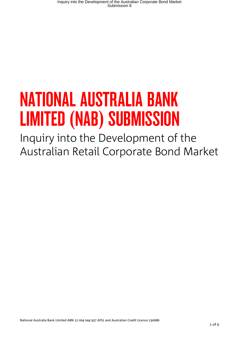# NATIONAL AUSTRALIA BANK LIMITED (NAB) SUBMISSION

Inquiry into the Development of the Australian Retail Corporate Bond Market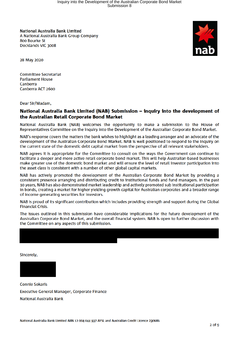National Australia Bank Limited A National Australia Bank Group Company 800 Bourke St Docklands VIC 3008



28 May 2020

**Committee Secretariat Parliament House** Canberra Canberra ACT 2600

Dear Sir/Madam,

## National Australia Bank Limited (NAB) Submission - inquiry into the development of the Australian Retail Corporate Bond Market

National Australia Bank (NAB) welcomes the opportunity to make a submission to the House of Representatives Committee on the inquiry into the Development of the Australian Corporate Bond Market.

NAB's response covers the matters the bank wishes to highlight as a leading arranger and an advocate of the development of the Australian Corporate Bond Market. NAB is well positioned to respond to the Inquiry on the current state of the domestic debt capital market from the perspective of all relevant stakeholders.

NAB agrees it is appropriate for the Committee to consult on the ways the Government can continue to facilitate a deeper and more active retail corporate bond market. This will help Australian-based businesses make greater use of the domestic bond market and will ensure the level of retail investor participation into the asset class is consistent with a number of other global capital markets.

NAB has actively promoted the development of the Australian Corporate Bond Market by providing a consistent presence arranging and distributing credit to institutional funds and fund managers. In the past 10 years, NAB has also demonstrated market leadership and actively promoted sub institutional participation in bonds, creating a market for higher yielding growth capital for Australian corporates and a broader range of income generating securities for investors.

NAB is proud of its significant contribution which includes providing strength and support during the Global **Financial Crisis.** 

The issues outlined in this submission have considerable implications for the future development of the Australian Corporate Bond Market, and the overall financial system. NAB is open to further discussion with the Committee on any aspects of this submission.

Sincerely,

**Connie Sokaris** Executive General Manager, Corporate Finance **National Australia Bank**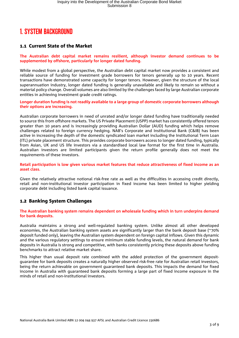# 1. SYSTEM BACKGROUND

# 1.1 Current State of the Market

**The Australian debt capital market remains resilient, although investor demand continues to be supplemented by offshore, particularly for longer dated funding.**

While modest from a global perspective, the Australian debt capital market now provides a consistent and reliable source of funding for investment grade borrowers for tenors generally up to 10 years. Recent transactions have demonstrated some capacity for longer tenors. However, given the structure of the local superannuation industry, longer dated funding is generally unavailable and likely to remain so without a material policy change. Overall volumes are also limited by the challenges faced by large Australian corporate entities in achieving investment grade credit ratings.

**Longer duration funding is not readily available to a large group of domestic corporate borrowers although their options are increasing.** 

Australian corporate borrowers in need of unrated and/or longer dated funding have traditionally needed to source this from offshore markets. The US Private Placement (USPP) market has consistently offered tenors greater than 10 years and is increasingly providing Australian Dollar (AUD) funding which helps remove challenges related to foreign currency hedging. NAB's Corporate and Institutional Bank (C&IB) has been active in increasing the depth of the domestic syndicated loan market including the Institutional Term Loan (ITL) private placement structure. This provides corporate borrowers access to longer dated funding, typically from Asian, UK and US life investors via a standardised local law format for the first time in Australia. Australian investors are limited participants given the return profile generally does not meet the requirements of these investors.

**Retail participation is low given various market features that reduce attractiveness of fixed income as an asset class.** 

Given the relatively attractive notional risk-free rate as well as the difficulties in accessing credit directly, retail and non-institutional investor participation in fixed income has been limited to higher yielding corporate debt including listed bank capital issuance.

# 1.2 Banking System Challenges

**The Australian banking system remains dependent on wholesale funding which in turn underpins demand for bank deposits.** 

Australia maintains a strong and well-regulated banking system. Unlike almost all other developed economies, the Australian banking system assets are significantly larger than the bank deposit base (~70% deposit funded only), leaving the Australian system dependent on foreign capital inflows. Given this dynamic and the various regulatory settings to ensure minimum stable funding levels, the natural demand for bank deposits in Australia is strong and competitive, with banks consistently pricing these deposits above funding benchmarks to attract relative market share.

This higher than usual deposit rate combined with the added protection of the government depositguarantee for bank deposits creates a naturally higher observed risk-free rate for Australian retail investors, being the return achievable on government guaranteed bank deposits. This impacts the demand for fixed income in Australia with guaranteed bank deposits forming a large part of fixed income exposure in the minds of retail and non-institutional investors.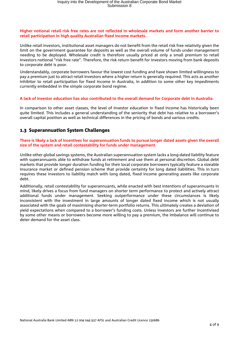#### **Higher notional retail risk free rates are not reflected in wholesale markets and form another barrier to retail participation in high quality Australian fixed income markets.**

Unlike retail investors, institutional asset managers do not benefit from the retail risk free relativity given the limit on the government guarantee for deposits as well as the overall volume of funds under management needing to be deployed. Wholesale credit is therefore usually priced at only a small premium to retail investors notional "risk free rate". Therefore, the risk return benefit for investors moving from bank deposits to corporate debt is poor.

Understandably, corporate borrowers favour the lowest cost funding and have shown limited willingness to pay a premium just to attract retail investors where a higher return is generally required. This acts as another inhibitor to retail participation for fixed income in Australia, in addition to some other key impediments currently embedded in the simple corporate bond regime.

#### **A lack of investor education has also contributed to the overall demand for Corporate debt in Australia.**

In comparison to other asset classes, the level of investor education in fixed income has historically been quite limited. This includes a general understanding of the seniority that debt has relative to a borrower's overall capital position as well as technical differences in the pricing of bonds and various credits.

# 1.3 Superannuation System Challenges

#### **There is likely a lack of incentives for superannuation funds to pursue longer dated assets given the overall size of the system and retail contestability for funds under management.**

Unlike other global savings systems, the Australian superannuation system lacks a long-dated liability feature with superannuants able to withdraw funds at retirement and use them at personal discretion. Global debt markets that provide longer duration funding for their local corporate borrowers typically feature a sizeable insurance market or defined pension scheme that provide certainty for long dated liabilities. This in turn requires these investors to liability match with long dated, fixed income generating assets like corporate debt.

Additionally, retail contestability for superannuants, while enacted with best intentions of superannuants in mind, likely drives a focus from fund managers on shorter term performance to protect and actively attract additional funds under management. Seeking outperformance under these circumstances is likely inconsistent with the investment in large amounts of longer dated fixed income which is not usually associated with the goals of maximising shorter-term portfolio returns. This ultimately creates a deviation of yield expectations when compared to a borrower's funding costs. Unless investors are further incentivised by some other means or borrowers become more willing to pay a premium, the imbalance will continue to deter demand for the asset class.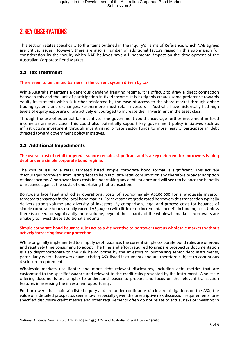# 2.KEY OBSERVATIONS

This section relates specifically to the items outlined in the inquiry's Terms of Reference, which NAB agrees are critical issues. However, there are also a number of additional factors raised in this submission for consideration by the inquiry which NAB believes have a fundamental impact on the development of the Australian Corporate Bond Market.

# 2.1 Tax Treatment

#### **There seem to be limited barriers in the current system driven by tax.**

While Australia maintains a generous dividend franking regime, it is difficult to draw a direct connection between this and the lack of participation in fixed income. It is likely this creates some preference towards equity investments which is further reinforced by the ease of access to the share market through online trading systems and exchanges. Furthermore, most retail investors in Australia have historically had high levels of equity exposure or are actively encouraged to increase their investment in the asset class.

Through the use of potential tax incentives, the government could encourage further investment in fixed income as an asset class. This could also potentially support key government policy initiatives such as infrastructure investment through incentivising private sector funds to more heavily participate in debt directed toward government policy initiatives.

### 2.2 Additional Impediments

#### **The overall cost of retail targeted issuance remains significant and is a key deterrent for borrowers issuing debt under a simple corporate bond regime.**

The cost of issuing a retail targeted listed simple corporate bond format is significant. This actively discourages borrowers from listing debt to help facilitate retail consumption and therefore broader adoption of fixed income. A borrower faces costs in undertaking any debt issuance and will seek to balance the benefits of issuance against the costs of undertaking that transaction.

Borrowers face legal and other operational costs of approximately A\$100,000 for a wholesale investor targeted transaction in the local bond market. For investment grade rated borrowers this transaction typically delivers strong volume and diversity of investors. By comparison, legal and process costs for issuance of simple corporate bonds usually exceed A\$500,000 with little or no incremental benefit in funding cost. Unless there is a need for significantly more volume, beyond the capacity of the wholesale markets, borrowers are unlikely to invest these additional amounts.

#### **Simple corporate bond issuance rules act as a disincentive to borrowers versus wholesale markets without actively increasing investor protection.**

While originally implemented to simplify debt issuance, the current simple corporate bond rules are onerous and relatively time consuming to adopt. The time and effort required to prepare prospectus documentation is also disproportionate to the risk being borne by the investors in purchasing senior debt instruments, particularly where borrowers have existing ASX listed instruments and are therefore subject to continuous disclosure requirements.

Wholesale markets use lighter and more debt relevant disclosures, including debt metrics that are customised to the specific issuance and relevant to the credit risks presented by the instrument. Wholesale offering documents are simpler to understand, easier to prepare and focus on the relevant transaction features in assessing the investment opportunity.

For borrowers that maintain listed equity and are under continuous disclosure obligations on the ASX, the value of a detailed prospectus seems low, especially given the prescriptive risk discussion requirements, prespecified disclosure credit metrics and other requirements often do not relate to actual risks of investing in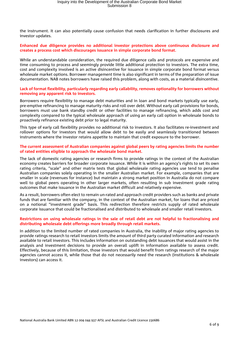the instrument. It can also potentially cause confusion that needs clarification in further disclosures and investor updates.

#### **Enhanced due diligence provides no additional investor protections above continuous disclosure and creates a process cost which discourages issuance in simple corporate bond format.**

While an understandable consideration, the required due diligence calls and protocols are expensive and time consuming to process and seemingly provide little additional protection to investors. The extra time, cost and complexity involved is an active disincentive for issuance in simple corporate bond format versus wholesale market options. Borrower management time is also significant in terms of the preparation of issue documentation. NAB notes borrowers have raised this problem, along with costs, as a material disincentive.

#### **Lack of format flexibility, particularly regarding early callability, removes optionality for borrowers without removing any apparent risk to investors.**

Borrowers require flexibility to manage debt maturities and in loan and bond markets typically use early, pre-emptive refinancing to manage maturity risks and roll over debt. Without early call provisions for bonds, borrowers must use bank standby credit or other facilities to manage refinancing, which adds cost and complexity compared to the typical wholesale approach of using an early call option in wholesale bonds to proactively refinance existing debt prior to legal maturity.

This type of early call flexibility provides no additional risk to investors. It also facilitates re-investment and rollover options for investors that would allow debt to be easily and seamlessly transitioned between instruments where the investor retains appetite to maintain that credit exposure to the borrower.

#### **The current assessment of Australian companies against global peers by rating agencies limits the number of rated entities eligible to approach the wholesale bond market.**

The lack of domestic rating agencies or research firms to provide ratings in the context of the Australian economy creates barriers for broader corporate issuance. While it is within an agency's rights to set its own rating criteria, "scale" and other matrix tests that global wholesale rating agencies use tend to penalise Australian companies solely operating in the smaller Australian market. For example, companies that are smaller in scale (revenues for instance) but maintain a strong market position in Australia do not compare well to global peers operating in other larger markets, often resulting in sub investment grade rating outcomes that make issuance in the Australian market difficult and relatively expensive.

As a result, borrowers often elect to remain un-rated and approach credit providers such as banks and private funds that are familiar with the company, in the context of the Australian market, for loans that are priced on a notional "investment grade" basis. This redirection therefore restricts supply of rated wholesale corporate issuance that could be fractionalised and distributed to wholesale and smaller retail investors.

#### **Restrictions on using wholesale ratings in the sale of retail debt are not helpful to fractionalising and distributing wholesale debt offerings more broadly through retail markets.**

In addition to the limited number of rated companies in Australia, the inability of major rating agencies to provide ratings research to retail investors limits the amount of third party curated information and research available to retail investors. This includes information on outstanding debt issuances that would assist in the analysis and investment decisions to provide an overall uplift in information available to assess credit. Effectively, because of this limitation, those investors that would benefit from ratings research of the major agencies cannot access it, while those that do not necessarily need the research (institutions & wholesale investors) can access it.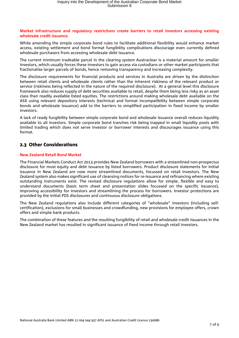#### **Market infrastructure and regulatory restrictions create barriers to retail investors accessing existing wholesale credit issuance.**

While amending the simple corporate bond rules to facilitate additional flexibility would enhance market access, existing settlement and bond format fungibility complications discourage even currently defined wholesale purchasers from accessing wholesale debt issuance.

The current minimum tradeable parcel in the clearing system Austraclear is a material amount for smaller investors, which usually forces these investors to gain access via custodians or other market participants that fractionalise larger parcels of bonds, hence removing transparency and increasing complexity.

The disclosure requirements for financial products and services in Australia are driven by the distinction between retail clients and wholesale clients rather than the inherent riskiness of the relevant product or service (riskiness being reflected in the nature of the required disclosure). At a general level this disclosure framework also reduces supply of debt securities available to retail, despite them being less risky as an asset class than readily available listed equities. The restrictions around making wholesale debt available on the ASX using relevant depository interests (technical and format incompatibility between simple corporate bonds and wholesale issuance) add to the barriers to simplified participation in fixed income by smaller investors.

A lack of ready fungibility between simple corporate bond and wholesale issuance overall reduces liquidity available to all investors. Simple corporate bond tranches risk being trapped in small liquidity pools with limited trading which does not serve investor or borrower interests and discourages issuance using this format.

# 2.3 Other Considerations

#### **New Zealand Retail Bond Market**

The Financial Markets Conduct Act 2013 provides New Zealand borrowers with a streamlined non-prospectus disclosure for most equity and debt issuance by listed borrowers. Product disclosure statements for initial issuance in New Zealand are now more streamlined documents, focussed on retail investors. The New Zealand system also makes significant use of cleansing notices for re-issuance and refinancing where existing outstanding instruments exist. The revised disclosure regulations allow for simple, flexible and easy to understand documents (basic term sheet and presentation slides focussed on the specific issuance), improving accessibility for investors and streamlining the process for borrowers. Investor protections are provided by the initial PDS disclosures and continuous disclosure obligations.

The New Zealand regulations also include different categories of "wholesale" investors (including selfcertification), exclusions for small businesses and crowdfunding, new provisions for employee offers, crown offers and simple bank products.

The combination of these features and the resulting fungibility of retail and wholesale credit issuances in the New Zealand market has resulted in significant issuance of fixed income through retail investors.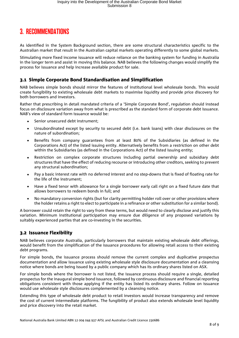# 3. RECOMMENDATIONS

As identified in the System Background section, there are some structural characteristics specific to the Australian market that result in the Australian capital markets operating differently to some global markets.

Stimulating more fixed income issuance will reduce reliance on the banking system for funding in Australia in the longer term and assist in moving this balance. NAB believes the following changes would simplify the process for issuance and help increase available product for sale.

# 3.1 Simple Corporate Bond Standardisation and Simplification

NAB believes simple bonds should mirror the features of institutional level wholesale bonds. This would create fungibility to existing wholesale debt markets to maximise liquidity and provide price discovery for both borrowers and investors.

Rather that prescribing in detail mandated criteria of a 'Simple Corporate Bond', regulation should instead focus on disclosure variation away from what is prescribed as the standard form of corporate debt issuance. NAB's view of standard form issuance would be:

- Senior unsecured debt instrument:
- Unsubordinated except by security to secured debt (i.e. bank loans) with clear disclosures on the nature of subordination;
- Benefits from company guarantees from at least 80% of the Subsidiaries (as defined in the Corporations Act) of the listed issuing entity. Alternatively benefits from a restriction on other debt within the Subsidiaries (as defined in the Corporations Act) of the listed issuing entity;
- Restriction on complex corporate structures including partial ownership and subsidiary debt structures that have the effect of reducing recourse or introducing other creditors, seeking to prevent any structural subordination;
- Pay a basic interest rate with no deferred interest and no step-downs that is fixed of floating rate for the life of the instrument;
- Have a fixed tenor with allowance for a single borrower early call right on a fixed future date that allows borrowers to redeem bonds in full; and
- No mandatory conversion rights (but for clarity permitting holder roll over or other provisions where the holder retains a right to elect to participate in a refinance or other substitution for a similar bond).

A borrower could retain the right to vary from these terms, but would need to clearly disclose and justify this variation. Minimum institutional participation may ensure due diligence of any proposed variations by suitably experienced parties that are co-investing in the securities.

## 3.2 Issuance Flexibility

NAB believes corporate Australia, particularly borrowers that maintain existing wholesale debt offerings, would benefit from the simplification of the issuance procedures for allowing retail access to their existing debt programs.

For simple bonds, the issuance process should remove the current complex and duplicative prospectus documentation and allow issuance using existing wholesale style disclosure documentation and a cleansing notice where bonds are being issued by a public company which has its ordinary shares listed on ASX.

For simple bonds where the borrower is not listed, the issuance process should require a single, detailed prospectus for the inaugural simple bond issuance, followed by continuous disclosure and financial reporting obligations consistent with those applying if the entity has listed its ordinary shares. Follow on issuance would use wholesale style disclosures complemented by a cleansing notice.

Extending this type of wholesale debt product to retail investors would increase transparency and remove the cost of current intermediate platforms. The fungibility of product also extends wholesale level liquidity and price discovery into the retail market.